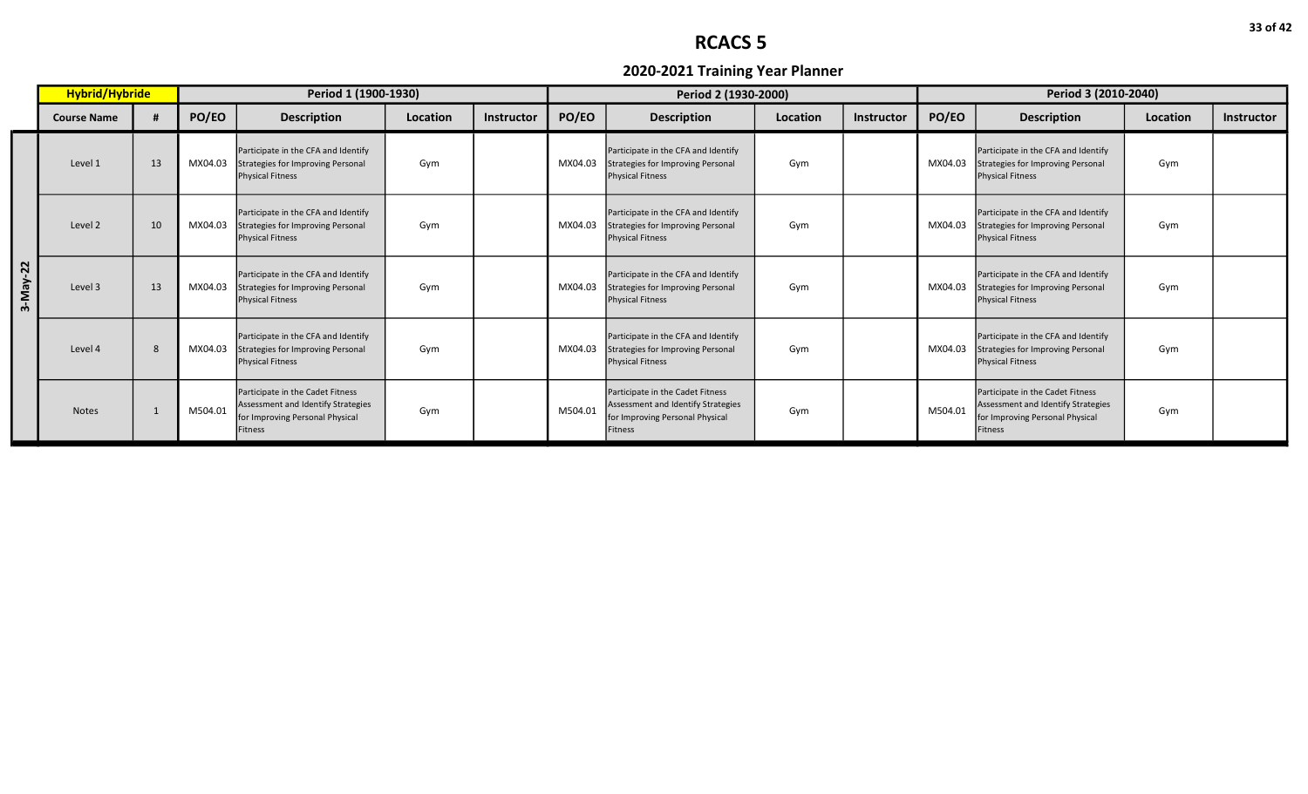|                         | Hybrid/Hybride     |    |         | Period 1 (1900-1930)                                                                                                        |          |                   |         | Period 2 (1930-2000)                                                                                                 |          |            | Period 3 (2010-2040) |                                                                                                                      |          |            |  |
|-------------------------|--------------------|----|---------|-----------------------------------------------------------------------------------------------------------------------------|----------|-------------------|---------|----------------------------------------------------------------------------------------------------------------------|----------|------------|----------------------|----------------------------------------------------------------------------------------------------------------------|----------|------------|--|
|                         | <b>Course Name</b> |    | PO/EO   | <b>Description</b>                                                                                                          | Location | <b>Instructor</b> | PO/EO   | <b>Description</b>                                                                                                   | Location | Instructor | PO/EO                | <b>Description</b>                                                                                                   | Location | Instructor |  |
|                         | Level 1            | 13 | MX04.03 | Participate in the CFA and Identify<br><b>Strategies for Improving Personal</b><br><b>Physical Fitness</b>                  | Gym      |                   | MX04.03 | Participate in the CFA and Identify<br>Strategies for Improving Personal<br>Physical Fitness                         | Gym      |            | MX04.03              | Participate in the CFA and Identify<br>Strategies for Improving Personal<br><b>Physical Fitness</b>                  | Gym      |            |  |
|                         | Level 2            | 10 | MX04.03 | Participate in the CFA and Identify<br><b>Strategies for Improving Personal</b><br><b>Physical Fitness</b>                  | Gym      |                   | MX04.03 | Participate in the CFA and Identify<br>Strategies for Improving Personal<br><b>Physical Fitness</b>                  | Gym      |            | MX04.03              | Participate in the CFA and Identify<br>Strategies for Improving Personal<br><b>Physical Fitness</b>                  | Gym      |            |  |
| $\mathbf{z}$<br>3-May-3 | Level 3            | 13 | MX04.03 | Participate in the CFA and Identify<br><b>Strategies for Improving Personal</b><br><b>Physical Fitness</b>                  | Gym      |                   | MX04.03 | Participate in the CFA and Identify<br>Strategies for Improving Personal<br><b>Physical Fitness</b>                  | Gym      |            | MX04.03              | Participate in the CFA and Identify<br>Strategies for Improving Personal<br><b>Physical Fitness</b>                  | Gym      |            |  |
|                         | Level 4            | 8  | MX04.03 | Participate in the CFA and Identify<br><b>Strategies for Improving Personal</b><br><b>Physical Fitness</b>                  | Gym      |                   | MX04.03 | Participate in the CFA and Identify<br>Strategies for Improving Personal<br><b>Physical Fitness</b>                  | Gym      |            | MX04.03              | Participate in the CFA and Identify<br>Strategies for Improving Personal<br><b>Physical Fitness</b>                  | Gym      |            |  |
|                         | <b>Notes</b>       |    | M504.01 | Participate in the Cadet Fitness<br>Assessment and Identify Strategies<br>for Improving Personal Physical<br><b>Fitness</b> | Gym      |                   | M504.01 | Participate in the Cadet Fitness<br>Assessment and Identify Strategies<br>for Improving Personal Physical<br>Fitness | Gym      |            | M504.01              | Participate in the Cadet Fitness<br>Assessment and Identify Strategies<br>for Improving Personal Physical<br>Fitness | Gym      |            |  |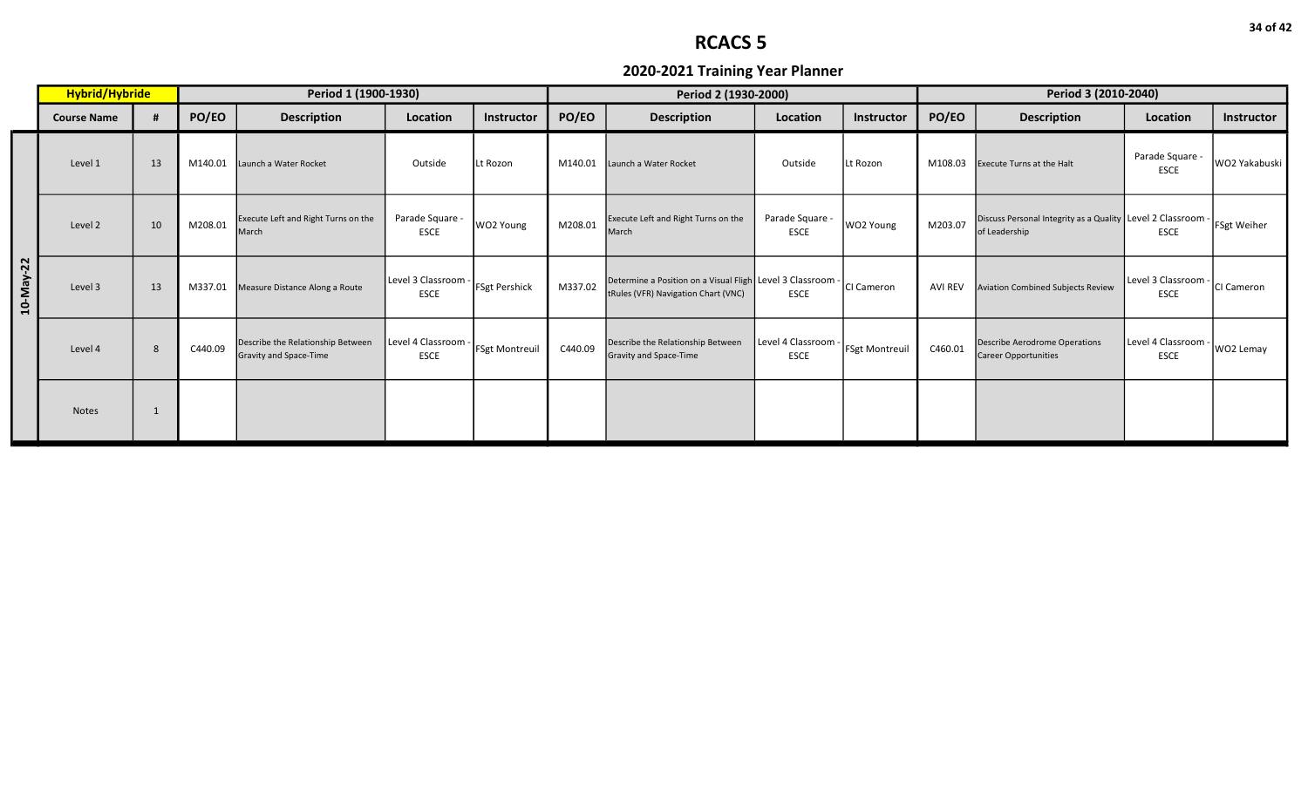|           | Hybrid/Hybride     |    |         | Period 1 (1900-1930)                                               |                                                  |                       |         | Period 2 (1930-2000)                                                                              |                                  |                       | Period 3 (2010-2040) |                                                                              |                                    |                    |  |
|-----------|--------------------|----|---------|--------------------------------------------------------------------|--------------------------------------------------|-----------------------|---------|---------------------------------------------------------------------------------------------------|----------------------------------|-----------------------|----------------------|------------------------------------------------------------------------------|------------------------------------|--------------------|--|
|           | <b>Course Name</b> |    | PO/EO   | <b>Description</b>                                                 | Location                                         | Instructor            | PO/EO   | <b>Description</b>                                                                                | Location                         | Instructor            | PO/EO                | <b>Description</b>                                                           | Location                           | Instructor         |  |
|           | Level 1            | 13 | M140.01 | Launch a Water Rocket                                              | Outside                                          | Lt Rozon              | M140.01 | Launch a Water Rocket                                                                             | Outside                          | Lt Rozon              | M108.03              | <b>Execute Turns at the Halt</b>                                             | Parade Square -<br><b>ESCE</b>     | WO2 Yakabuski      |  |
|           | Level 2            | 10 | M208.01 | Execute Left and Right Turns on the<br>March                       | Parade Square -<br><b>ESCE</b>                   | WO2 Young             | M208.01 | Execute Left and Right Turns on the<br>March                                                      | Parade Square -<br>ESCE          | WO2 Young             | M203.07              | Discuss Personal Integrity as a Quality Level 2 Classroom -<br>of Leadership | <b>ESCE</b>                        | <b>FSgt Weiher</b> |  |
| 10-May-22 | Level 3            | 13 | M337.01 | Measure Distance Along a Route                                     | Level 3 Classroom - FSgt Pershick<br><b>ESCE</b> |                       | M337.02 | Determine a Position on a Visual Fligh Level 3 Classroom -<br>tRules (VFR) Navigation Chart (VNC) | <b>ESCE</b>                      | CI Cameron            | <b>AVI REV</b>       | <b>Aviation Combined Subjects Review</b>                                     | Level 3 Classroom -<br><b>ESCE</b> | CI Cameron         |  |
|           | Level 4            | 8  | C440.09 | Describe the Relationship Between<br><b>Gravity and Space-Time</b> | Level 4 Classroom -<br><b>ESCE</b>               | <b>FSgt Montreuil</b> | C440.09 | Describe the Relationship Between<br>Gravity and Space-Time                                       | Level 4 Classroom<br><b>ESCE</b> | <b>FSgt Montreuil</b> | C460.01              | <b>Describe Aerodrome Operations</b><br>Career Opportunities                 | Level 4 Classroom -<br><b>ESCE</b> | WO2 Lemay          |  |
|           | <b>Notes</b>       |    |         |                                                                    |                                                  |                       |         |                                                                                                   |                                  |                       |                      |                                                                              |                                    |                    |  |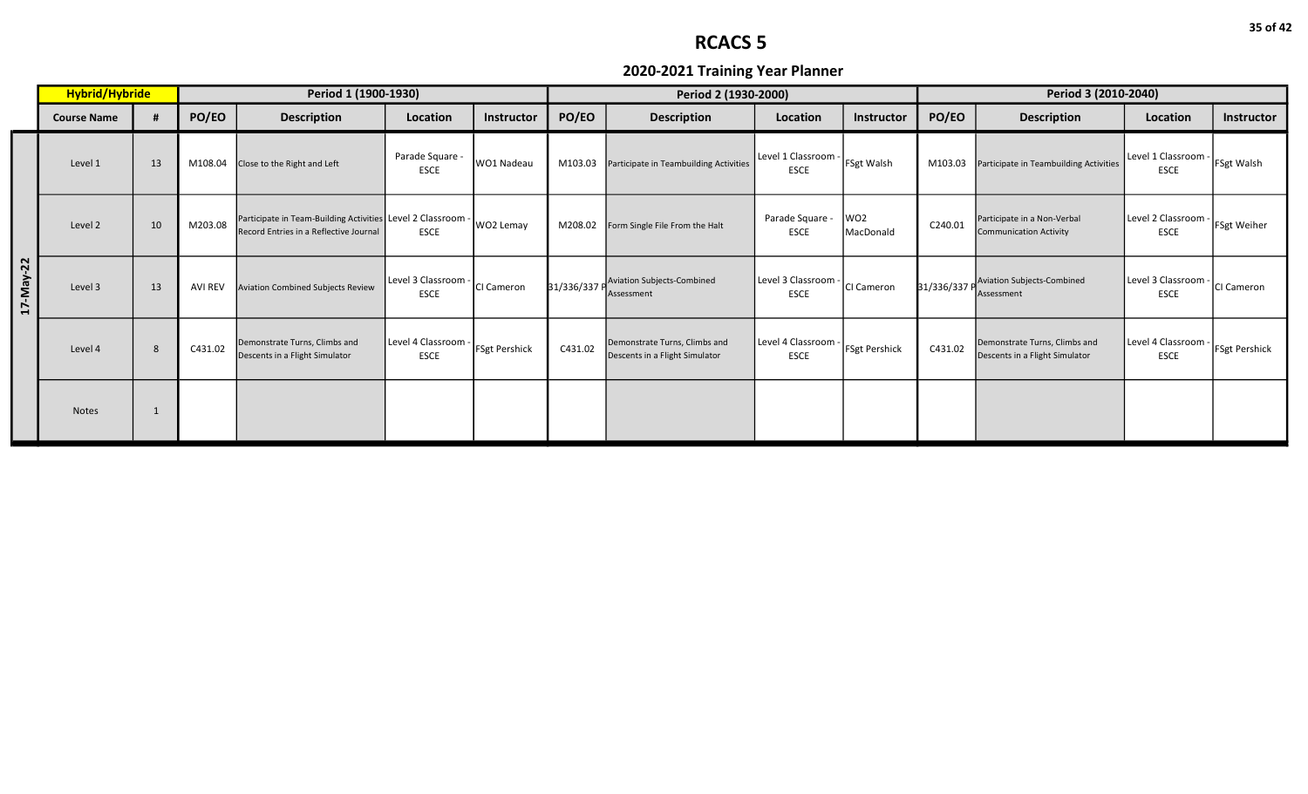|           | Hybrid/Hybride     |    | Period 1 (1900-1930) |                                                                                                       |                                    |                      |         | Period 2 (1930-2000)                                            |                                    |                              | Period 3 (2010-2040) |                                                                 |                                    |                      |  |
|-----------|--------------------|----|----------------------|-------------------------------------------------------------------------------------------------------|------------------------------------|----------------------|---------|-----------------------------------------------------------------|------------------------------------|------------------------------|----------------------|-----------------------------------------------------------------|------------------------------------|----------------------|--|
|           | <b>Course Name</b> |    | PO/EO                | <b>Description</b>                                                                                    | Location                           | Instructor           | PO/EO   | <b>Description</b>                                              | Location                           | Instructor                   | PO/EO                | <b>Description</b>                                              | Location                           | <b>Instructor</b>    |  |
|           | Level 1            | 13 | M108.04              | Close to the Right and Left                                                                           | Parade Square -<br><b>ESCE</b>     | WO1 Nadeau           | M103.03 | Participate in Teambuilding Activities                          | Level 1 Classroom<br><b>ESCE</b>   | FSgt Walsh                   | M103.03              | Participate in Teambuilding Activities                          | Level 1 Classroom -<br><b>ESCE</b> | <b>FSgt Walsh</b>    |  |
|           | Level 2            | 10 | M203.08              | Participate in Team-Building Activities Level 2 Classroom -<br>Record Entries in a Reflective Journal | <b>ESCE</b>                        | WO2 Lemay            | M208.02 | Form Single File From the Halt                                  | Parade Square -<br>ESCE            | WO <sub>2</sub><br>MacDonald | C240.01              | Participate in a Non-Verbal<br><b>Communication Activity</b>    | Level 2 Classroom -<br><b>ESCE</b> | <b>FSgt Weiher</b>   |  |
| 17-May-22 | Level 3            | 13 | <b>AVI REV</b>       | <b>Aviation Combined Subjects Review</b>                                                              | Level 3 Classroom -<br><b>ESCE</b> | CI Cameron           |         | 31/336/337 P<br>Assessment                                      | Level 3 Classroom -<br><b>ESCE</b> | CI Cameron                   | 31/336/337 P         | <b>Aviation Subjects-Combined</b><br>Assessment                 | Level 3 Classroom -<br><b>ESCE</b> | CI Cameron           |  |
|           | Level 4            | 8  | C431.02              | Demonstrate Turns, Climbs and<br>Descents in a Flight Simulator                                       | Level 4 Classroom -<br><b>ESCE</b> | <b>FSgt Pershick</b> | C431.02 | Demonstrate Turns, Climbs and<br>Descents in a Flight Simulator | Level 4 Classroom<br><b>ESCE</b>   | <b>FSgt Pershick</b>         | C431.02              | Demonstrate Turns, Climbs and<br>Descents in a Flight Simulator | Level 4 Classroom -<br><b>ESCE</b> | <b>FSgt Pershick</b> |  |
|           | <b>Notes</b>       |    |                      |                                                                                                       |                                    |                      |         |                                                                 |                                    |                              |                      |                                                                 |                                    |                      |  |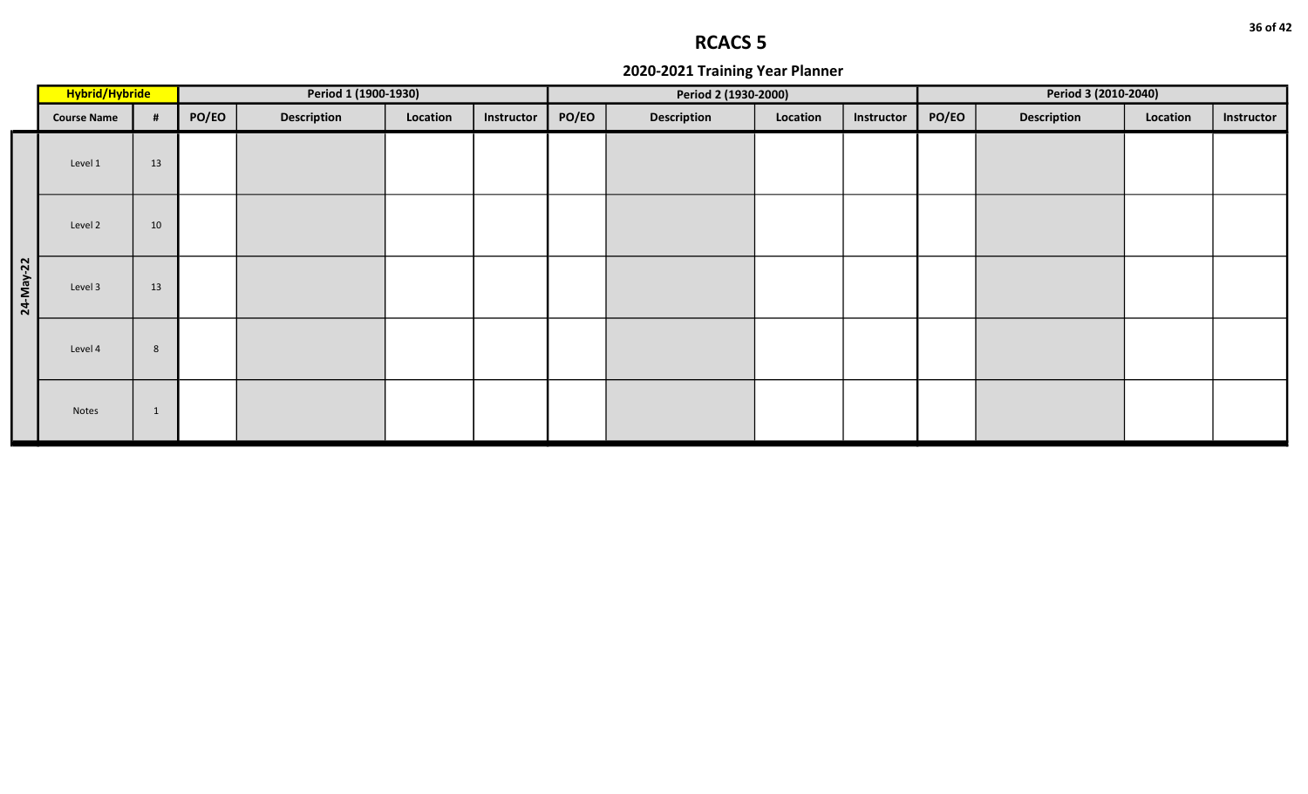|           | Hybrid/Hybride     |    |       | Period 1 (1900-1930) |          |            |       | Period 2 (1930-2000) |          |            |       | Period 3 (2010-2040) |          |            |
|-----------|--------------------|----|-------|----------------------|----------|------------|-------|----------------------|----------|------------|-------|----------------------|----------|------------|
|           | <b>Course Name</b> | #  | PO/EO | <b>Description</b>   | Location | Instructor | PO/EO | <b>Description</b>   | Location | Instructor | PO/EO | <b>Description</b>   | Location | Instructor |
|           | Level 1            | 13 |       |                      |          |            |       |                      |          |            |       |                      |          |            |
|           | Level 2            | 10 |       |                      |          |            |       |                      |          |            |       |                      |          |            |
| 24-May-22 | Level 3            | 13 |       |                      |          |            |       |                      |          |            |       |                      |          |            |
|           | Level 4            | 8  |       |                      |          |            |       |                      |          |            |       |                      |          |            |
|           | Notes              | 1  |       |                      |          |            |       |                      |          |            |       |                      |          |            |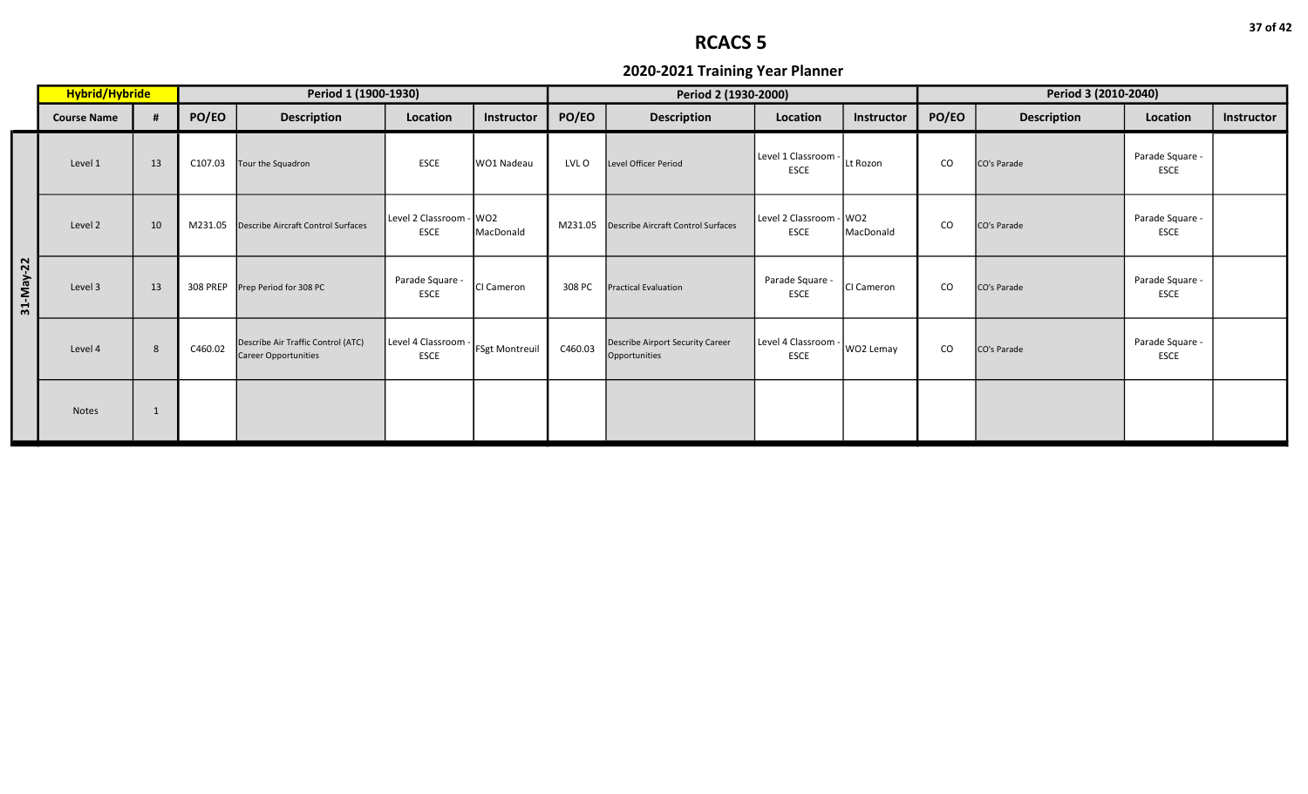|           | Hybrid/Hybride     |    | Period 1 (1900-1930) |                                                                   |                                        |                |         | Period 2 (1930-2000)                              |                                        |                   | Period 3 (2010-2040) |                    |                                |            |  |
|-----------|--------------------|----|----------------------|-------------------------------------------------------------------|----------------------------------------|----------------|---------|---------------------------------------------------|----------------------------------------|-------------------|----------------------|--------------------|--------------------------------|------------|--|
|           | <b>Course Name</b> |    | PO/EO                | <b>Description</b>                                                | Location                               | Instructor     | PO/EO   | <b>Description</b>                                | Location                               | <b>Instructor</b> | PO/EO                | <b>Description</b> | Location                       | Instructor |  |
|           | Level 1            | 13 | C107.03              | Tour the Squadron                                                 | <b>ESCE</b>                            | WO1 Nadeau     | LVL O   | Level Officer Period                              | Level 1 Classroom -<br><b>ESCE</b>     | Lt Rozon          | CO                   | CO's Parade        | Parade Square -<br><b>ESCE</b> |            |  |
|           | Level 2            | 10 | M231.05              | <b>Describe Aircraft Control Surfaces</b>                         | Level 2 Classroom - WO2<br><b>ESCE</b> | MacDonald      | M231.05 | Describe Aircraft Control Surfaces                | Level 2 Classroom - WO2<br><b>ESCE</b> | MacDonald         | $\rm CO$             | CO's Parade        | Parade Square -<br><b>ESCE</b> |            |  |
| 31-May-22 | Level 3            | 13 |                      | 308 PREP Prep Period for 308 PC                                   | Parade Square -<br><b>ESCE</b>         | CI Cameron     | 308 PC  | <b>Practical Evaluation</b>                       | Parade Square -<br>ESCE                | CI Cameron        | CO                   | CO's Parade        | Parade Square -<br><b>ESCE</b> |            |  |
|           | Level 4            | 8  | C460.02              | Describe Air Traffic Control (ATC)<br><b>Career Opportunities</b> | Level 4 Classroom<br><b>ESCE</b>       | FSgt Montreuil | C460.03 | Describe Airport Security Career<br>Opportunities | Level 4 Classroom -<br><b>ESCE</b>     | WO2 Lemay         | $\rm CO$             | CO's Parade        | Parade Square -<br><b>ESCE</b> |            |  |
|           | <b>Notes</b>       | -1 |                      |                                                                   |                                        |                |         |                                                   |                                        |                   |                      |                    |                                |            |  |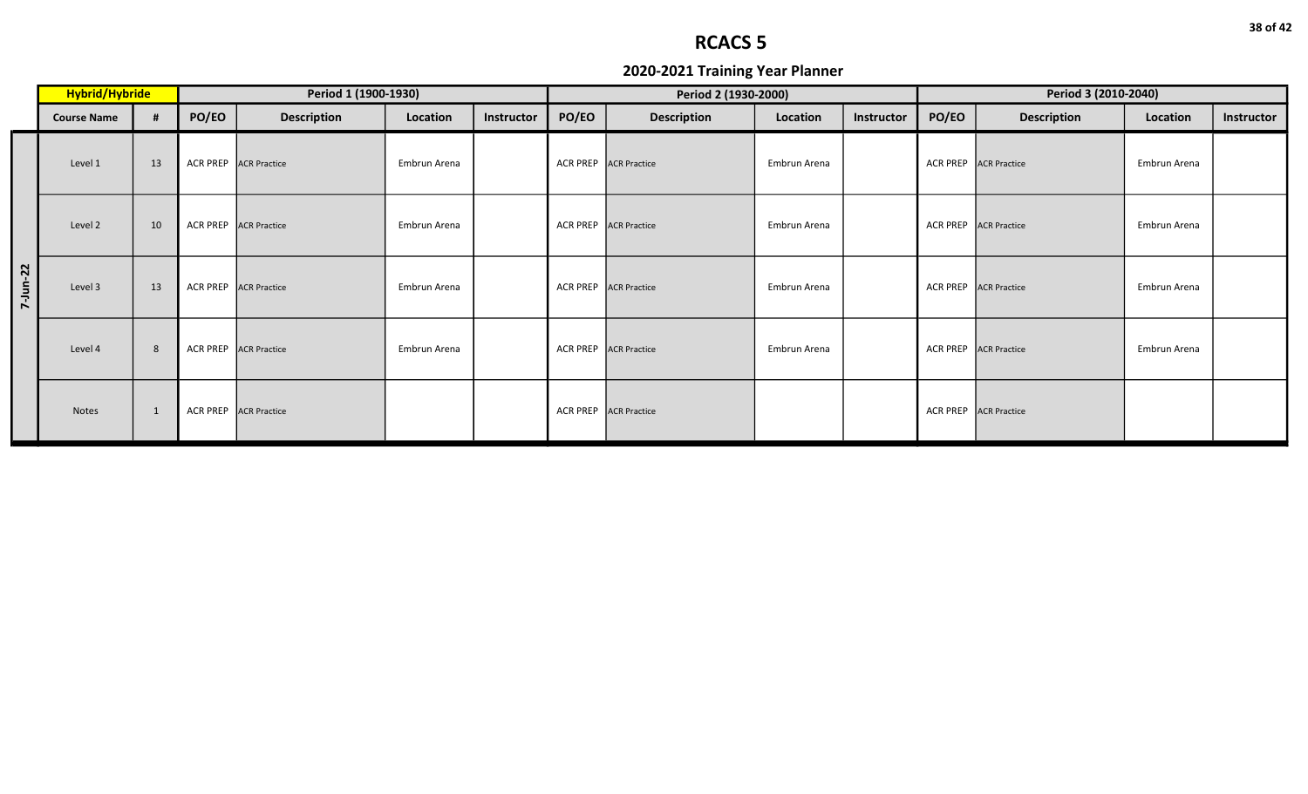|          | Hybrid/Hybride     |    | Period 1 (1900-1930) |                              |              |            |       | Period 2 (1930-2000)  |              |            | Period 3 (2010-2040) |                       |              |            |  |
|----------|--------------------|----|----------------------|------------------------------|--------------|------------|-------|-----------------------|--------------|------------|----------------------|-----------------------|--------------|------------|--|
|          | <b>Course Name</b> |    | PO/EO                | <b>Description</b>           | Location     | Instructor | PO/EO | <b>Description</b>    | Location     | Instructor | PO/EO                | <b>Description</b>    | Location     | Instructor |  |
|          | Level 1            | 13 | <b>ACR PREP</b>      | <b>ACR Practice</b>          | Embrun Arena |            |       | ACR PREP ACR Practice | Embrun Arena |            | <b>ACR PREP</b>      | <b>ACR Practice</b>   | Embrun Arena |            |  |
|          | Level 2            | 10 |                      | <b>ACR PREP ACR Practice</b> | Embrun Arena |            |       | ACR PREP ACR Practice | Embrun Arena |            | <b>ACR PREP</b>      | <b>ACR Practice</b>   | Embrun Arena |            |  |
| 7-Jun-22 | Level 3            | 13 |                      | ACR PREP ACR Practice        | Embrun Arena |            |       | ACR PREP ACR Practice | Embrun Arena |            |                      | ACR PREP ACR Practice | Embrun Arena |            |  |
|          | Level 4            | 8  |                      | ACR PREP ACR Practice        | Embrun Arena |            |       | ACR PREP ACR Practice | Embrun Arena |            | <b>ACR PREP</b>      | <b>ACR Practice</b>   | Embrun Arena |            |  |
|          | Notes              | 1  | <b>ACR PREP</b>      | <b>ACR Practice</b>          |              |            |       | ACR PREP ACR Practice |              |            | <b>ACR PREP</b>      | <b>ACR Practice</b>   |              |            |  |